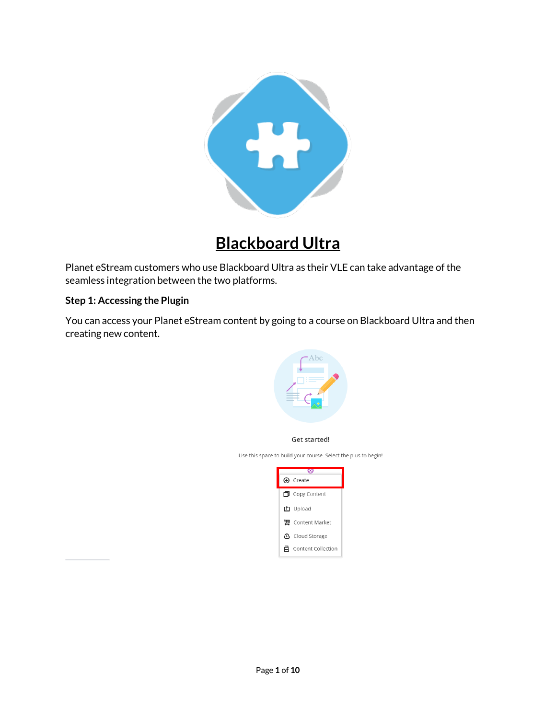

# **Blackboard Ultra**

Planet eStream customers who use Blackboard Ultra as their VLE can take advantage of the seamless integration between the two platforms.

#### **Step 1: Accessing the Plugin**

You can access your Planet eStream content by going to a course on Blackboard Ultra and then creating new content.



Get started!

Use this space to build your course. Select the plus to begin!

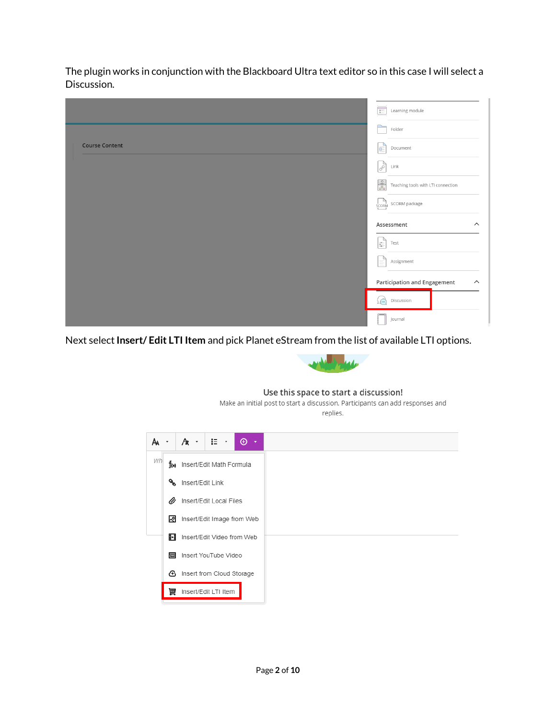The plugin works in conjunction with the Blackboard Ultra text editor so in this case I will select a Discussion.

|                       | Learning module<br>$\frac{a}{a}$                               |  |  |
|-----------------------|----------------------------------------------------------------|--|--|
|                       | Folder                                                         |  |  |
| <b>Course Content</b> | E<br>Document                                                  |  |  |
|                       | $\mathscr{E}$<br>Link                                          |  |  |
|                       | $\frac{0}{\sin \theta}$<br>Teaching tools with LTI connection  |  |  |
|                       | SCORM SCORM package                                            |  |  |
|                       | Assessment<br>$\widehat{\phantom{a}}$                          |  |  |
|                       | E<br>Test                                                      |  |  |
|                       | ₫<br>Assignment                                                |  |  |
|                       | <b>Participation and Engagement</b><br>$\widehat{\phantom{a}}$ |  |  |
|                       | $\Box$<br>Discussion                                           |  |  |
|                       | Journal                                                        |  |  |

Next select **Insert/ Edit LTI Item** and pick Planet eStream from the list of available LTI options.



#### Use this space to start a discussion!

Make an initial post to start a discussion. Participants can add responses and replies.

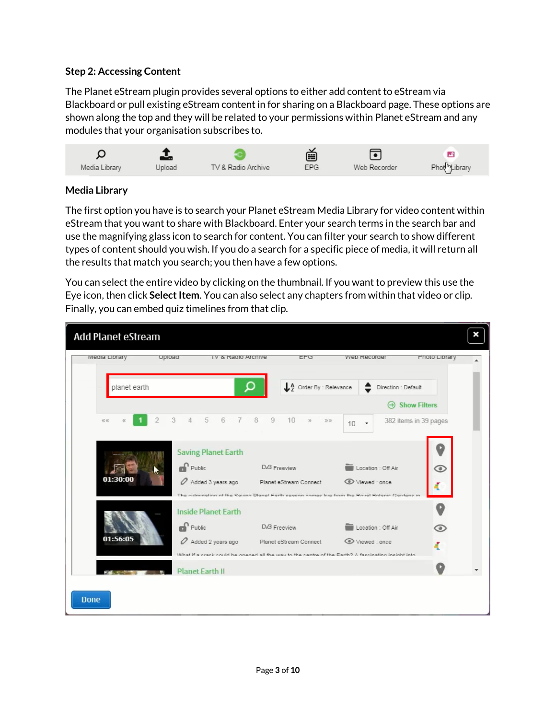#### **Step 2: Accessing Content**

The Planet eStream plugin provides several options to either add content to eStream via Blackboard or pull existing eStream content in for sharing on a Blackboard page. These options are shown along the top and they will be related to your permissions within Planet eStream and any modules that your organisation subscribes to.



## **Media Library**

The first option you have is to search your Planet eStream Media Library for video content within eStream that you want to share with Blackboard. Enter your search terms in the search bar and use the magnifying glass icon to search for content. You can filter your search to show different types of content should you wish. If you do a search for a specific piece of media, it will return all the results that match you search; you then have a few options.

You can select the entire video by clicking on the thumbnail. If you want to preview this use the Eye icon, then click **Select Item**. You can also select any chapters from within that video or clip. Finally, you can embed quiz timelines from that clip.

| Add Planet eStream               |                                                                                                                                                                 |                                                         |                                       | ×                     |
|----------------------------------|-----------------------------------------------------------------------------------------------------------------------------------------------------------------|---------------------------------------------------------|---------------------------------------|-----------------------|
| weara Library<br>Upload          | TV & Radio Archive                                                                                                                                              | EPU                                                     | <b>VVeb Recorder</b>                  | Prioto Library        |
| planet earth                     | O                                                                                                                                                               | A Order By : Relevance                                  | Direction : Default                   |                       |
|                                  |                                                                                                                                                                 |                                                         | $\Theta$                              | <b>Show Filters</b>   |
| $\overline{2}$<br>48.46<br>$\ll$ | 3<br>5<br>6<br>$\overline{4}$<br>7<br>8                                                                                                                         | 9<br>10<br>$\mathcal{D}$<br>$\mathfrak{B} \mathfrak{B}$ | 10                                    | 382 items in 39 pages |
| 01:30:00                         | <b>Saving Planet Earth</b><br>Public<br>Added 3 years ago<br>The culmination of the Saving Dlanet Forth easenn comes live from the Pousl Rotanic Cardens in     | D/3 Freeview<br>Planet eStream Connect                  | Location : Off Air<br>◯ Viewed : once | ◉                     |
| 01:56:05                         | <b>Inside Planet Earth</b><br>Public<br>Added 2 years ago<br>What if a crack could he onened all the way to the centre of the Forth? A feccination incight into | D/3 Freeview<br>Planet eStream Connect                  | Location : Off Air<br>Viewed : once   | ಾ                     |
|                                  | <b>Planet Earth II</b>                                                                                                                                          |                                                         |                                       |                       |
| <b>Done</b>                      |                                                                                                                                                                 |                                                         |                                       |                       |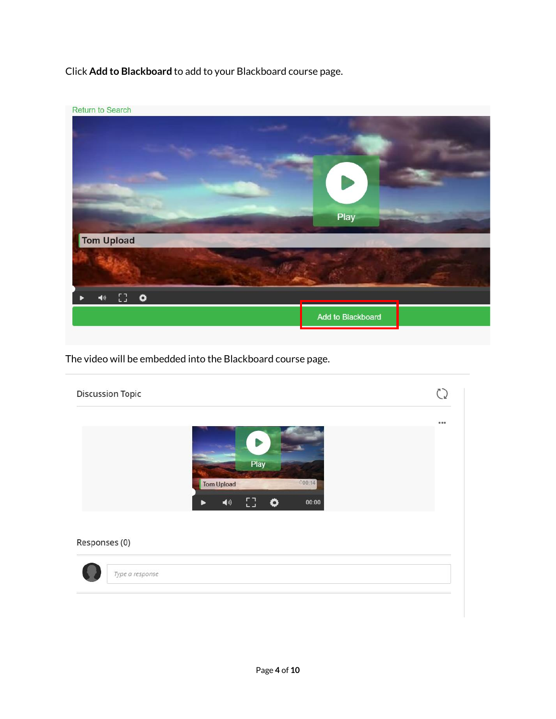Click **Add to Blackboard** to add to your Blackboard course page.



The video will be embedded into the Blackboard course page.

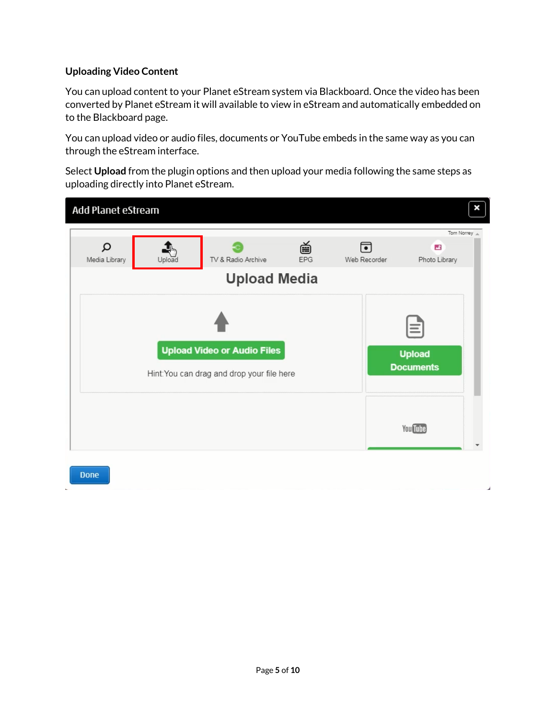# **Uploading Video Content**

You can upload content to your Planet eStream system via Blackboard. Once the video has been converted by Planet eStream it will available to view in eStream and automatically embedded on to the Blackboard page.

You can upload video or audio files, documents or YouTube embeds in the same way as you can through the eStream interface.

Select **Upload** from the plugin options and then upload your media following the same steps as uploading directly into Planet eStream.

| Add Planet eStream                                                               |        |                                           |          |                   |                                               | × |
|----------------------------------------------------------------------------------|--------|-------------------------------------------|----------|-------------------|-----------------------------------------------|---|
| Ω<br>Media Library                                                               | Upload | TV & Radio Archive<br><b>Upload Media</b> | 首<br>EPG | 同<br>Web Recorder | Tom Norrey A<br>$\mathbf{r}$<br>Photo Library |   |
| <b>Upload Video or Audio Files</b><br>Hint: You can drag and drop your file here |        |                                           |          |                   | $\equiv$<br><b>Upload</b><br><b>Documents</b> |   |
|                                                                                  |        |                                           |          |                   | <b>You Tube</b>                               |   |
| <b>Done</b>                                                                      |        |                                           |          |                   |                                               | ۷ |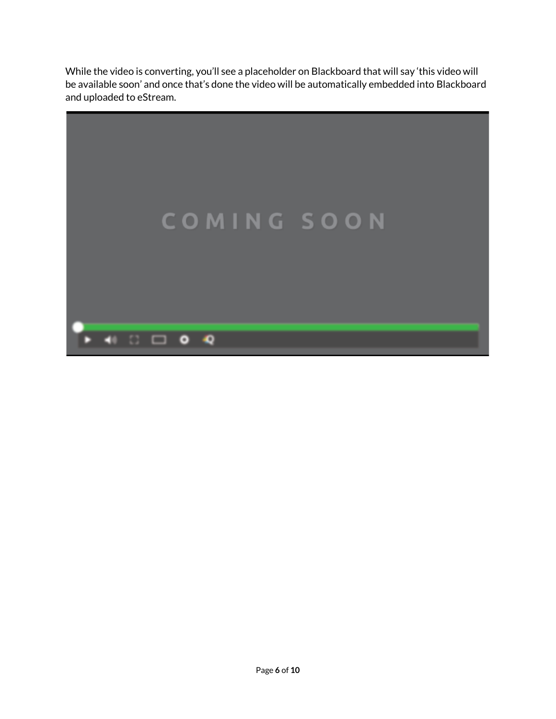While the video is converting, you'll see a placeholder on Blackboard that will say 'this video will be available soon' and once that's done the video will be automatically embedded into Blackboard and uploaded to eStream.

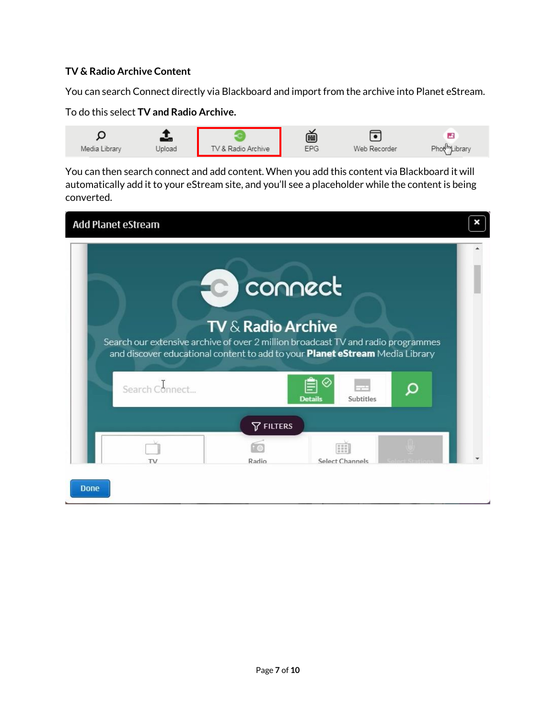### **TV & Radio Archive Content**

You can search Connect directly via Blackboard and import from the archive into Planet eStream.

#### To do this select **TV and Radio Archive.**



You can then search connect and add content. When you add this content via Blackboard it will automatically add it to your eStream site, and you'll see a placeholder while the content is being converted.

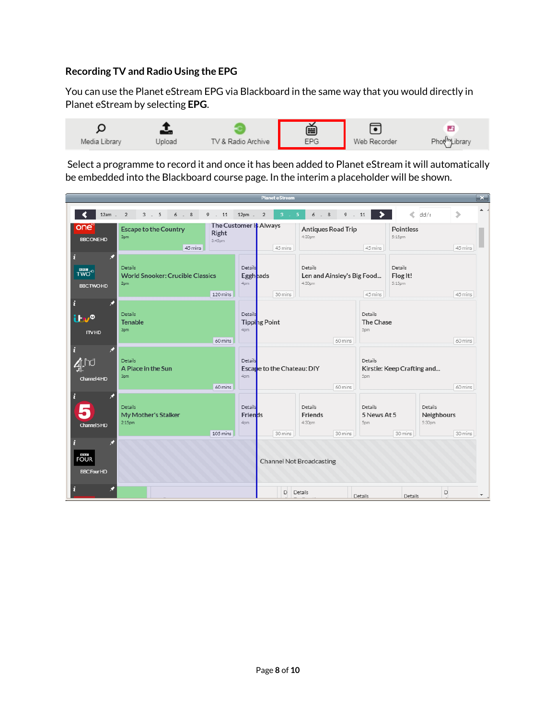## **Recording TV and Radio Using the EPG**

You can use the Planet eStream EPG via Blackboard in the same way that you would directly in Planet eStream by selecting **EPG**.



Select a programme to record it and once it has been added to Planet eStream it will automatically be embedded into the Blackboard course page. In the interim a placeholder will be shown.

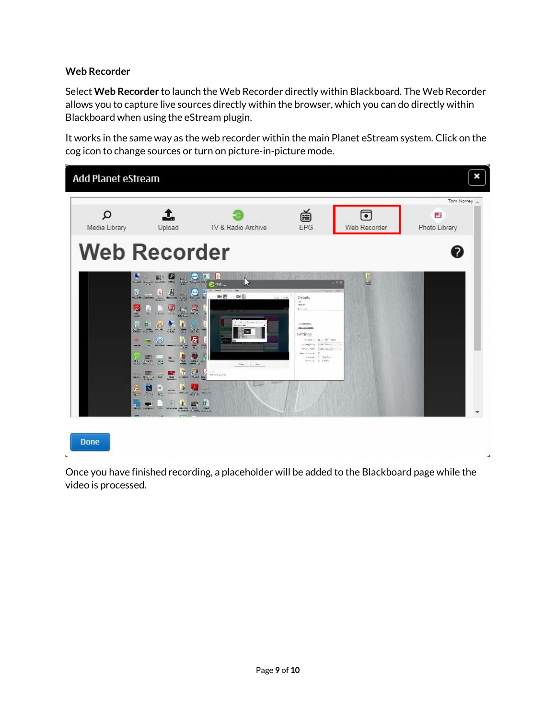## **Web Recorder**

Select **Web Recorder** to launch the Web Recorder directly within Blackboard. The Web Recorder allows you to capture live sources directly within the browser, which you can do directly within Blackboard when using the eStream plugin.

It works in the same way as the web recorder within the main Planet eStream system. Click on the cog icon to change sources or turn on picture-in-picture mode.



Once you have finished recording, a placeholder will be added to the Blackboard page while the video is processed.